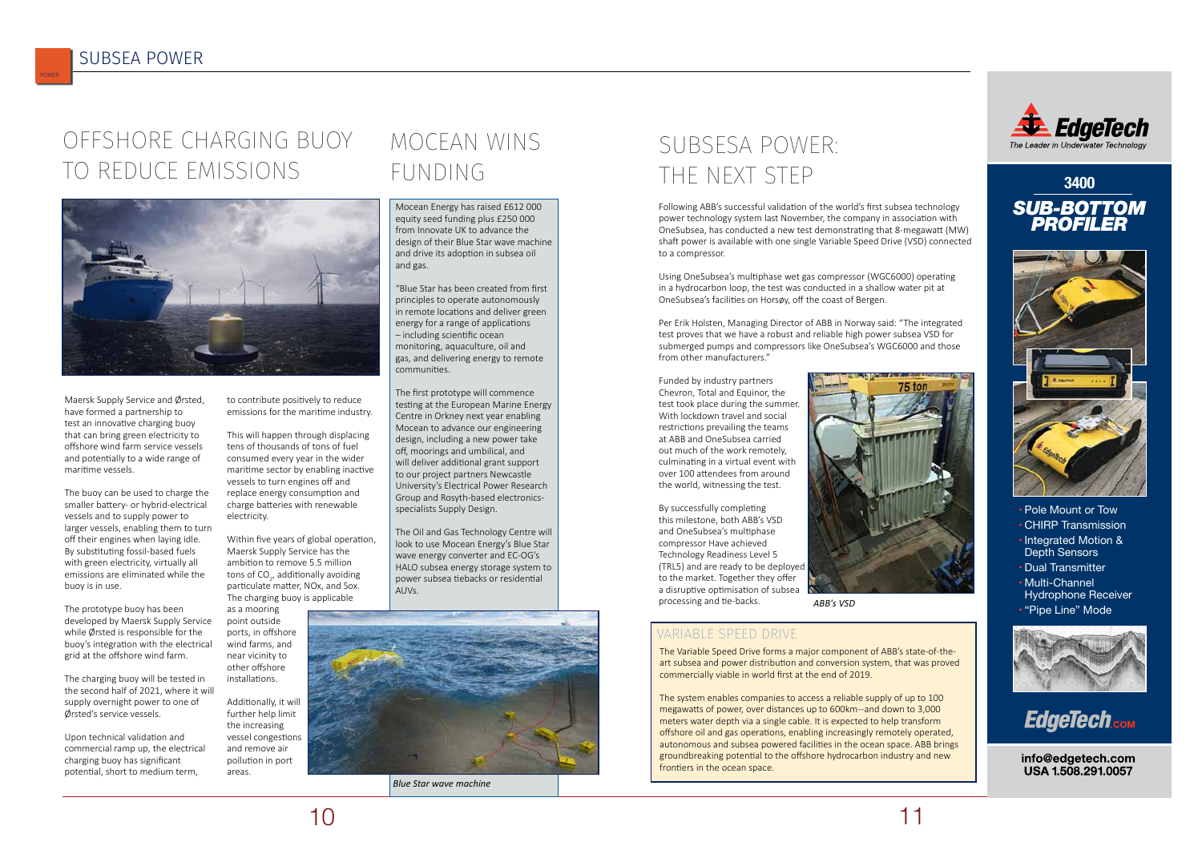Maersk Supply Service and Ørsted, have formed a partnership to test an innovative charging buoy that can bring green electricity to offshore wind farm service vessels and potentially to a wide range of maritime vessels.

The buoy can be used to charge the smaller battery- or hybrid-electrical vessels and to supply power to larger vessels, enabling them to turn off their engines when laying idle. By substituting fossil-based fuels with green electricity, virtually all emissions are eliminated while the buoy is in use.

The prototype buoy has been developed by Maersk Supply Service while Ørsted is responsible for the buoy's integration with the electrical grid at the offshore wind farm.

The charging buoy will be tested in the second half of 2021, where it will supply overnight power to one of Ørsted's service vessels.

Upon technical validation and commercial ramp up, the electrical charging buoy has significant potential, short to medium term,

to contribute positively to reduce emissions for the maritime industry.

This will happen through displacing tens of thousands of tons of fuel consumed every year in the wider maritime sector by enabling inactive vessels to turn engines off and replace energy consumption and charge batteries with renewable electricity.

> The Oil and Gas Technology Centre will look to use Mocean Energy's Blue Star wave energy converter and EC-OG's HALO subsea energy storage system to power subsea tiebacks or residential  $\Delta$ I $Ns$

Within five years of global operation, Maersk Supply Service has the ambition to remove 5.5 million tons of CO<sub>2</sub>, additionally avoiding particulate matter, NOx, and Sox. The charging buoy is applicable

as a mooring point outside ports, in offshore wind farms, and near vicinity to other offshore installations.

Additionally, it will further help limit the increasing vessel congestions and remove air pollution in port areas.

### OFFSHORE CHARGING BUOY TO REDUCE EMISSIONS

Mocean Energy has raised £612 000 equity seed funding plus £250 000 from Innovate UK to advance the design of their Blue Star wave machine and drive its adoption in subsea oil and gas.

## SUBSESA POWER: THE NEXT STEP 3400

"Blue Star has been created from first principles to operate autonomously in remote locations and deliver green energy for a range of applications – including scientific ocean monitoring, aquaculture, oil and gas, and delivering energy to remote communities.

The first prototype will commence testing at the European Marine Energy Centre in Orkney next year enabling Mocean to advance our engineering design, including a new power take off, moorings and umbilical, and will deliver additional grant support to our project partners Newcastle University's Electrical Power Research Group and Rosyth-based electronicsspecialists Supply Design.

Following ABB's successful validation of the world's first subsea technology power technology system last November, the company in association with OneSubsea, has conducted a new test demonstrating that 8-megawatt (MW) shaft power is available with one single Variable Speed Drive (VSD) connected to a compressor.

Using OneSubsea's multiphase wet gas compressor (WGC6000) operating in a hydrocarbon loop, the test was conducted in a shallow water pit at OneSubsea's facilities on Horsøy, off the coast of Bergen.

Per Erik Holsten, Managing Director of ABB in Norway said: "The integrated test proves that we have a robust and reliable high power subsea VSD for submerged pumps and compressors like OneSubsea's WGC6000 and those from other manufacturers."

Funded by industry partners Chevron, Total and Equinor, the test took place during the summer. With lockdown travel and social restrictions prevailing the teams at ABB and OneSubsea carried out much of the work remotely, culminating in a virtual event with over 100 attendees from around the world, witnessing the test.

By successfully completing this milestone, both ABB's VSD and OneSubsea's multiphase compressor Have achieved Technology Readiness Level 5 (TRL5) and are ready to be deployed to the market. Together they offer a disruptive optimisation of subsea processing and tie-backs.











- Pole Mount or Tow
- CHIRP Transmission
- Integrated Motion & Depth Sensors
- Dual Transmitter • Multi-Channel
- Hydrophone Receiver • "Pipe Line" Mode





info@edgetech.com USA 1.508.291.0057

The Variable Speed Drive forms a major component of ABB's state-of-theart subsea and power distribution and conversion system, that was proved commercially viable in world first at the end of 2019.

The system enables companies to access a reliable supply of up to 100 megawatts of power, over distances up to 600km --and down to 3,000 meters water depth via a single cable. It is expected to help transform offshore oil and gas operations, enabling increasingly remotely operated, autonomous and subsea powered facilities in the ocean space. ABB brings groundbreaking potential to the offshore hydrocarbon industry and new frontiers in the ocean space.



#### VARIABLE SPEED DRIVE

*ABB's VSD*



*Blue Star wave machine*

POWER